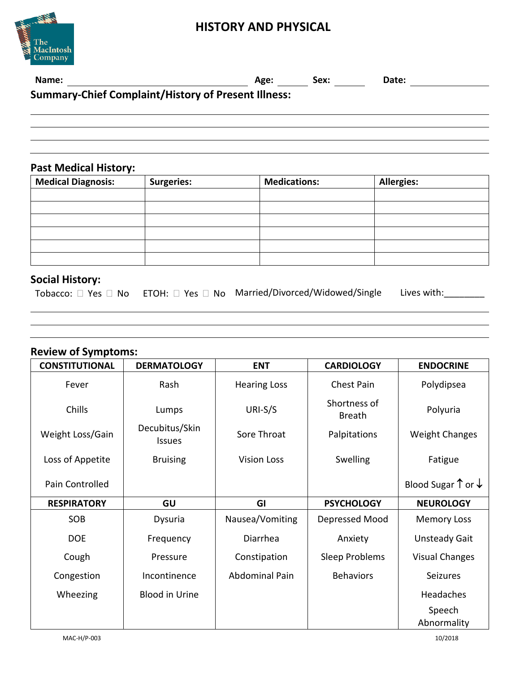### **HISTORY AND PHYSICAL**



| Name:                                                      | Age: | Sex: | Date: |  |
|------------------------------------------------------------|------|------|-------|--|
| <b>Summary-Chief Complaint/History of Present Illness:</b> |      |      |       |  |
|                                                            |      |      |       |  |

#### **Past Medical History:**

| <b>Medical Diagnosis:</b> | <b>Surgeries:</b> | <b>Medications:</b> | <b>Allergies:</b> |
|---------------------------|-------------------|---------------------|-------------------|
|                           |                   |                     |                   |
|                           |                   |                     |                   |
|                           |                   |                     |                   |
|                           |                   |                     |                   |
|                           |                   |                     |                   |
|                           |                   |                     |                   |

# **Social History:**

|  |  | Tobacco: $\square$ Yes $\square$ No ETOH: $\square$ Yes $\square$ No Married/Divorced/Widowed/Single Lives with: |  |
|--|--|------------------------------------------------------------------------------------------------------------------|--|
|--|--|------------------------------------------------------------------------------------------------------------------|--|

## **Review of Symptoms:**

| <b>CONSTITUTIONAL</b> | <b>DERMATOLOGY</b>              | <b>ENT</b>            | <b>CARDIOLOGY</b>             | <b>ENDOCRINE</b>                       |
|-----------------------|---------------------------------|-----------------------|-------------------------------|----------------------------------------|
| Fever                 | Rash                            | <b>Hearing Loss</b>   | <b>Chest Pain</b>             | Polydipsea                             |
| Chills                | Lumps                           | URI-S/S               | Shortness of<br><b>Breath</b> | Polyuria                               |
| Weight Loss/Gain      | Decubitus/Skin<br><b>Issues</b> | Sore Throat           | Palpitations                  | <b>Weight Changes</b>                  |
| Loss of Appetite      | <b>Bruising</b>                 | <b>Vision Loss</b>    | Swelling                      | Fatigue                                |
| Pain Controlled       |                                 |                       |                               | Blood Sugar $\uparrow$ or $\downarrow$ |
| <b>RESPIRATORY</b>    | GU                              | GI                    | <b>PSYCHOLOGY</b>             | <b>NEUROLOGY</b>                       |
| SOB                   | Dysuria                         | Nausea/Vomiting       | Depressed Mood                | <b>Memory Loss</b>                     |
| <b>DOE</b>            | Frequency                       | Diarrhea              | Anxiety                       | <b>Unsteady Gait</b>                   |
| Cough                 | Pressure                        | Constipation          | Sleep Problems                | <b>Visual Changes</b>                  |
| Congestion            | Incontinence                    | <b>Abdominal Pain</b> | <b>Behaviors</b>              | <b>Seizures</b>                        |
| Wheezing              | <b>Blood in Urine</b>           |                       |                               | Headaches                              |
|                       |                                 |                       |                               | Speech                                 |
|                       |                                 |                       |                               | Abnormality                            |